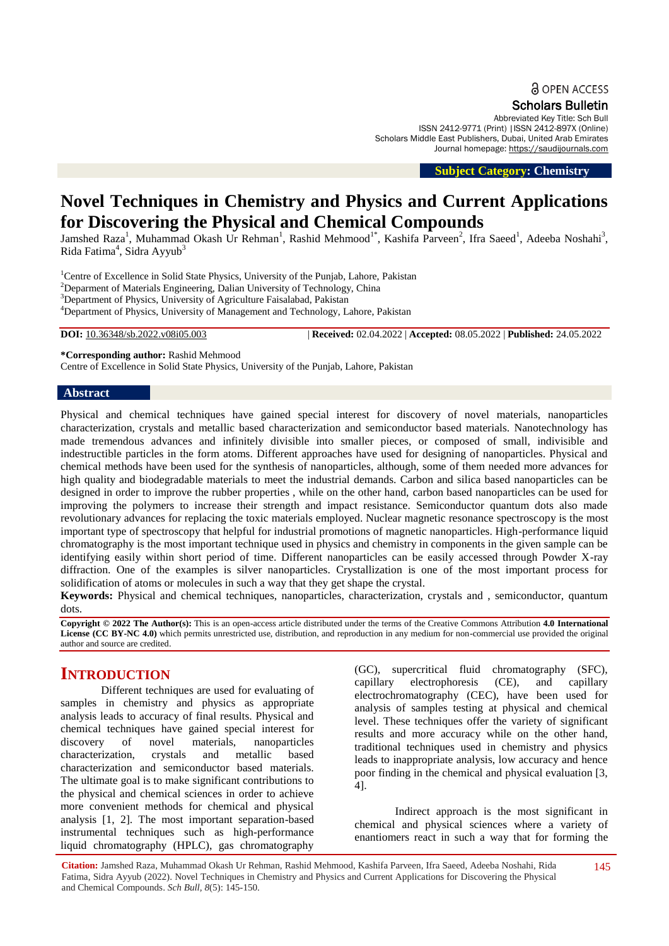Scholars Bulletin

Abbreviated Key Title: Sch Bull ISSN 2412-9771 (Print) |ISSN 2412-897X (Online) Scholars Middle East Publishers, Dubai, United Arab Emirates Journal homepage: [https://saudijournals.com](https://saudijournals.com/sb)

 **Subject Category: Chemistry**

# **Novel Techniques in Chemistry and Physics and Current Applications for Discovering the Physical and Chemical Compounds**

Jamshed Raza<sup>1</sup>, Muhammad Okash Ur Rehman<sup>1</sup>, Rashid Mehmood<sup>1\*</sup>, Kashifa Parveen<sup>2</sup>, Ifra Saeed<sup>1</sup>, Adeeba Noshahi<sup>3</sup>, Rida Fatima<sup>4</sup>, Sidra Ayyub<sup>3</sup>

<sup>1</sup>Centre of Excellence in Solid State Physics, University of the Punjab, Lahore, Pakistan <sup>2</sup>Deparment of Materials Engineering, Dalian University of Technology, China <sup>3</sup>Department of Physics, University of Agriculture Faisalabad, Pakistan

<sup>4</sup>Department of Physics, University of Management and Technology, Lahore, Pakistan

**DOI:** 10.36348/sb.2022.v08i05.003 | **Received:** 02.04.2022 | **Accepted:** 08.05.2022 | **Published:** 24.05.2022

**\*Corresponding author:** Rashid Mehmood

Centre of Excellence in Solid State Physics, University of the Punjab, Lahore, Pakistan

#### **Abstract**

Physical and chemical techniques have gained special interest for discovery of novel materials, nanoparticles characterization, crystals and metallic based characterization and semiconductor based materials. Nanotechnology has made tremendous advances and infinitely divisible into smaller pieces, or composed of small, indivisible and indestructible particles in the form atoms. Different approaches have used for designing of nanoparticles. Physical and chemical methods have been used for the synthesis of nanoparticles, although, some of them needed more advances for high quality and biodegradable materials to meet the industrial demands. Carbon and silica based nanoparticles can be designed in order to improve the rubber properties , while on the other hand, carbon based nanoparticles can be used for improving the polymers to increase their strength and impact resistance. Semiconductor quantum dots also made revolutionary advances for replacing the toxic materials employed. Nuclear magnetic resonance spectroscopy is the most important type of spectroscopy that helpful for industrial promotions of magnetic nanoparticles. High-performance liquid chromatography is the most important technique used in physics and chemistry in components in the given sample can be identifying easily within short period of time. Different nanoparticles can be easily accessed through Powder X-ray diffraction. One of the examples is silver nanoparticles. Crystallization is one of the most important process for solidification of atoms or molecules in such a way that they get shape the crystal.

**Keywords:** Physical and chemical techniques, nanoparticles, characterization, crystals and , semiconductor, quantum dots.

**Copyright © 2022 The Author(s):** This is an open-access article distributed under the terms of the Creative Commons Attribution **4.0 International**  License (CC BY-NC 4.0) which permits unrestricted use, distribution, and reproduction in any medium for non-commercial use provided the original author and source are credited.

# **INTRODUCTION**

Different techniques are used for evaluating of samples in chemistry and physics as appropriate analysis leads to accuracy of final results. Physical and chemical techniques have gained special interest for discovery of novel materials, nanoparticles characterization, crystals and metallic based characterization and semiconductor based materials. The ultimate goal is to make significant contributions to the physical and chemical sciences in order to achieve more convenient methods for chemical and physical analysis [1, 2]. The most important separation-based instrumental techniques such as high-performance liquid chromatography (HPLC), gas chromatography

(GC), supercritical fluid chromatography (SFC), capillary electrophoresis (CE), and capillary electrochromatography (CEC), have been used for analysis of samples testing at physical and chemical level. These techniques offer the variety of significant results and more accuracy while on the other hand, traditional techniques used in chemistry and physics leads to inappropriate analysis, low accuracy and hence poor finding in the chemical and physical evaluation [3, 4].

Indirect approach is the most significant in chemical and physical sciences where a variety of enantiomers react in such a way that for forming the

**Citation:** Jamshed Raza, Muhammad Okash Ur Rehman, Rashid Mehmood, Kashifa Parveen, Ifra Saeed, Adeeba Noshahi, Rida Fatima, Sidra Ayyub (2022). Novel Techniques in Chemistry and Physics and Current Applications for Discovering the Physical and Chemical Compounds. *Sch Bull, 8*(5): 145-150.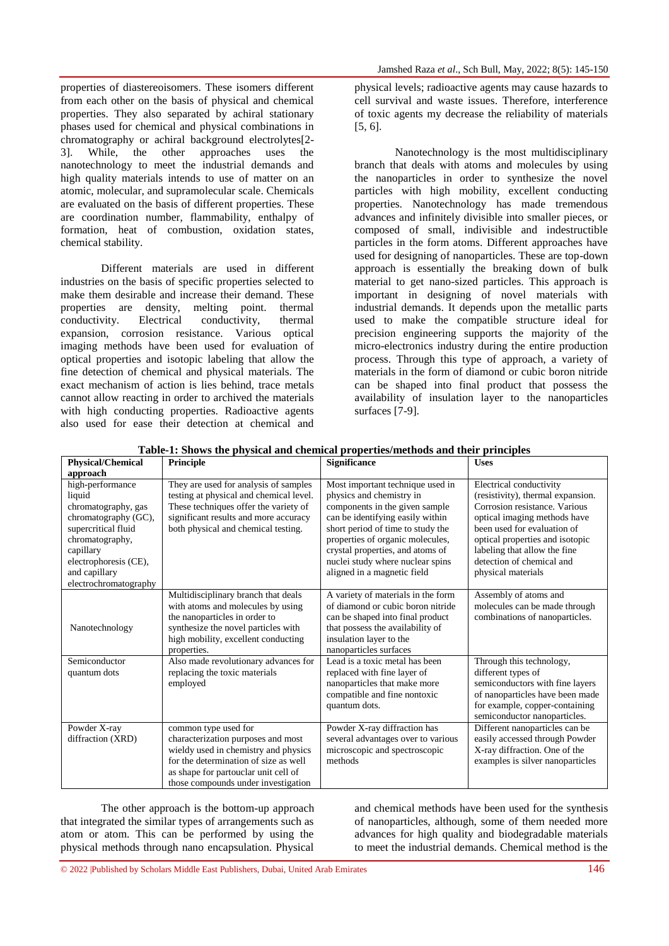properties of diastereoisomers. These isomers different from each other on the basis of physical and chemical properties. They also separated by achiral stationary phases used for chemical and physical combinations in chromatography or achiral background electrolytes[2- 3]. While, the other approaches uses the nanotechnology to meet the industrial demands and high quality materials intends to use of matter on an atomic, molecular, and supramolecular scale. Chemicals are evaluated on the basis of different properties. These are coordination number, flammability, enthalpy of formation, heat of combustion, oxidation states, chemical stability.

Different materials are used in different industries on the basis of specific properties selected to make them desirable and increase their demand. These properties are density, melting point. thermal conductivity. Electrical conductivity, thermal expansion, corrosion resistance. Various optical imaging methods have been used for evaluation of optical properties and isotopic labeling that allow the fine detection of chemical and physical materials. The exact mechanism of action is lies behind, trace metals cannot allow reacting in order to archived the materials with high conducting properties. Radioactive agents also used for ease their detection at chemical and

physical levels; radioactive agents may cause hazards to cell survival and waste issues. Therefore, interference of toxic agents my decrease the reliability of materials [5, 6].

Nanotechnology is the most multidisciplinary branch that deals with atoms and molecules by using the nanoparticles in order to synthesize the novel particles with high mobility, excellent conducting properties. Nanotechnology has made tremendous advances and infinitely divisible into smaller pieces, or composed of small, indivisible and indestructible particles in the form atoms. Different approaches have used for designing of nanoparticles. These are top-down approach is essentially the breaking down of bulk material to get nano-sized particles. This approach is important in designing of novel materials with industrial demands. It depends upon the metallic parts used to make the compatible structure ideal for precision engineering supports the majority of the micro-electronics industry during the entire production process. Through this type of approach, a variety of materials in the form of diamond or cubic boron nitride can be shaped into final product that possess the availability of insulation layer to the nanoparticles surfaces [7-9].

| <b>Physical/Chemical</b>                                                                                                                                                                            | Principle                                                                                                                                                                                                                  | <b>Significance</b>                                                                                                                                                                                                                                                                                                | <b>Uses</b>                                                                                                                                                                                                                                                                        |
|-----------------------------------------------------------------------------------------------------------------------------------------------------------------------------------------------------|----------------------------------------------------------------------------------------------------------------------------------------------------------------------------------------------------------------------------|--------------------------------------------------------------------------------------------------------------------------------------------------------------------------------------------------------------------------------------------------------------------------------------------------------------------|------------------------------------------------------------------------------------------------------------------------------------------------------------------------------------------------------------------------------------------------------------------------------------|
| approach                                                                                                                                                                                            |                                                                                                                                                                                                                            |                                                                                                                                                                                                                                                                                                                    |                                                                                                                                                                                                                                                                                    |
| high-performance<br>liquid<br>chromatography, gas<br>chromatography (GC),<br>supercritical fluid<br>chromatography,<br>capillary<br>electrophoresis (CE),<br>and capillary<br>electrochromatography | They are used for analysis of samples<br>testing at physical and chemical level.<br>These techniques offer the variety of<br>significant results and more accuracy<br>both physical and chemical testing.                  | Most important technique used in<br>physics and chemistry in<br>components in the given sample<br>can be identifying easily within<br>short period of time to study the<br>properties of organic molecules,<br>crystal properties, and atoms of<br>nuclei study where nuclear spins<br>aligned in a magnetic field | Electrical conductivity<br>(resistivity), thermal expansion.<br>Corrosion resistance. Various<br>optical imaging methods have<br>been used for evaluation of<br>optical properties and isotopic<br>labeling that allow the fine<br>detection of chemical and<br>physical materials |
| Nanotechnology                                                                                                                                                                                      | Multidisciplinary branch that deals<br>with atoms and molecules by using<br>the nanoparticles in order to<br>synthesize the novel particles with<br>high mobility, excellent conducting<br>properties.                     | A variety of materials in the form<br>of diamond or cubic boron nitride<br>can be shaped into final product<br>that possess the availability of<br>insulation layer to the<br>nanoparticles surfaces                                                                                                               | Assembly of atoms and<br>molecules can be made through<br>combinations of nanoparticles.                                                                                                                                                                                           |
| Semiconductor<br>quantum dots                                                                                                                                                                       | Also made revolutionary advances for<br>replacing the toxic materials<br>employed                                                                                                                                          | Lead is a toxic metal has been<br>replaced with fine layer of<br>nanoparticles that make more<br>compatible and fine nontoxic<br>quantum dots.                                                                                                                                                                     | Through this technology,<br>different types of<br>semiconductors with fine layers<br>of nanoparticles have been made<br>for example, copper-containing<br>semiconductor nanoparticles.                                                                                             |
| Powder X-ray<br>diffraction (XRD)                                                                                                                                                                   | common type used for<br>characterization purposes and most<br>wieldy used in chemistry and physics<br>for the determination of size as well<br>as shape for partouclar unit cell of<br>those compounds under investigation | Powder X-ray diffraction has<br>several advantages over to various<br>microscopic and spectroscopic<br>methods                                                                                                                                                                                                     | Different nanoparticles can be<br>easily accessed through Powder<br>X-ray diffraction. One of the<br>examples is silver nanoparticles                                                                                                                                              |

**Table-1: Shows the physical and chemical properties/methods and their principles**

The other approach is the bottom-up approach that integrated the similar types of arrangements such as atom or atom. This can be performed by using the physical methods through nano encapsulation. Physical

and chemical methods have been used for the synthesis of nanoparticles, although, some of them needed more advances for high quality and biodegradable materials to meet the industrial demands. Chemical method is the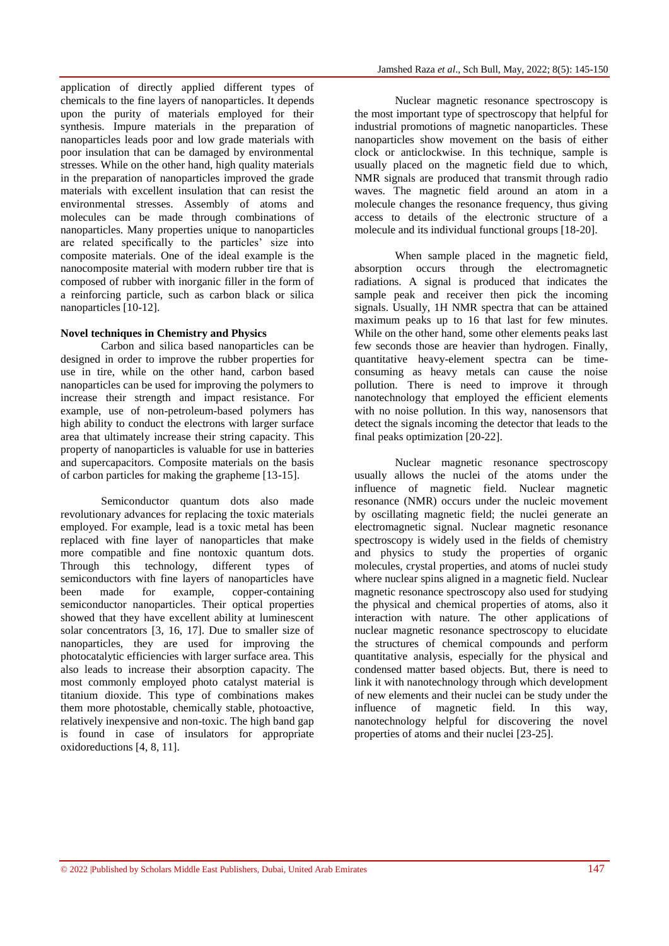application of directly applied different types of chemicals to the fine layers of nanoparticles. It depends upon the purity of materials employed for their synthesis. Impure materials in the preparation of nanoparticles leads poor and low grade materials with poor insulation that can be damaged by environmental stresses. While on the other hand, high quality materials in the preparation of nanoparticles improved the grade materials with excellent insulation that can resist the environmental stresses. Assembly of atoms and molecules can be made through combinations of nanoparticles. Many properties unique to nanoparticles are related specifically to the particles' size into composite materials. One of the ideal example is the nanocomposite material with modern rubber tire that is composed of rubber with inorganic filler in the form of a reinforcing particle, such as carbon black or silica nanoparticles [10-12].

#### **Novel techniques in Chemistry and Physics**

Carbon and silica based nanoparticles can be designed in order to improve the rubber properties for use in tire, while on the other hand, carbon based nanoparticles can be used for improving the polymers to increase their strength and impact resistance. For example, use of non-petroleum-based polymers has high ability to conduct the electrons with larger surface area that ultimately increase their string capacity. This property of nanoparticles is valuable for use in batteries and supercapacitors. Composite materials on the basis of carbon particles for making the grapheme [13-15].

Semiconductor quantum dots also made revolutionary advances for replacing the toxic materials employed. For example, lead is a toxic metal has been replaced with fine layer of nanoparticles that make more compatible and fine nontoxic quantum dots. Through this technology, different types of semiconductors with fine layers of nanoparticles have been made for example, copper-containing semiconductor nanoparticles. Their optical properties showed that they have excellent ability at luminescent solar concentrators [3, 16, 17]. Due to smaller size of nanoparticles, they are used for improving the photocatalytic efficiencies with larger surface area. This also leads to increase their absorption capacity. The most commonly employed photo catalyst material is titanium dioxide. This type of combinations makes them more photostable, chemically stable, photoactive, relatively inexpensive and non-toxic. The high band gap is found in case of insulators for appropriate oxidoreductions [4, 8, 11].

Nuclear magnetic resonance spectroscopy is the most important type of spectroscopy that helpful for industrial promotions of magnetic nanoparticles. These nanoparticles show movement on the basis of either clock or anticlockwise. In this technique, sample is usually placed on the magnetic field due to which, NMR signals are produced that transmit through radio waves. The magnetic field around an atom in a molecule changes the resonance frequency, thus giving access to details of the electronic structure of a molecule and its individual functional groups [18-20].

When sample placed in the magnetic field, absorption occurs through the electromagnetic radiations. A signal is produced that indicates the sample peak and receiver then pick the incoming signals. Usually, 1H NMR spectra that can be attained maximum peaks up to 16 that last for few minutes. While on the other hand, some other elements peaks last few seconds those are heavier than hydrogen. Finally, quantitative heavy-element spectra can be timeconsuming as heavy metals can cause the noise pollution. There is need to improve it through nanotechnology that employed the efficient elements with no noise pollution. In this way, nanosensors that detect the signals incoming the detector that leads to the final peaks optimization [20-22].

Nuclear magnetic resonance spectroscopy usually allows the nuclei of the atoms under the influence of magnetic field. Nuclear magnetic resonance (NMR) occurs under the nucleic movement by oscillating magnetic field; the nuclei generate an electromagnetic signal. Nuclear magnetic resonance spectroscopy is widely used in the fields of chemistry and physics to study the properties of organic molecules, crystal properties, and atoms of nuclei study where nuclear spins aligned in a magnetic field. Nuclear magnetic resonance spectroscopy also used for studying the physical and chemical properties of atoms, also it interaction with nature. The other applications of nuclear magnetic resonance spectroscopy to elucidate the structures of chemical compounds and perform quantitative analysis, especially for the physical and condensed matter based objects. But, there is need to link it with nanotechnology through which development of new elements and their nuclei can be study under the influence of magnetic field. In this way, nanotechnology helpful for discovering the novel properties of atoms and their nuclei [23-25].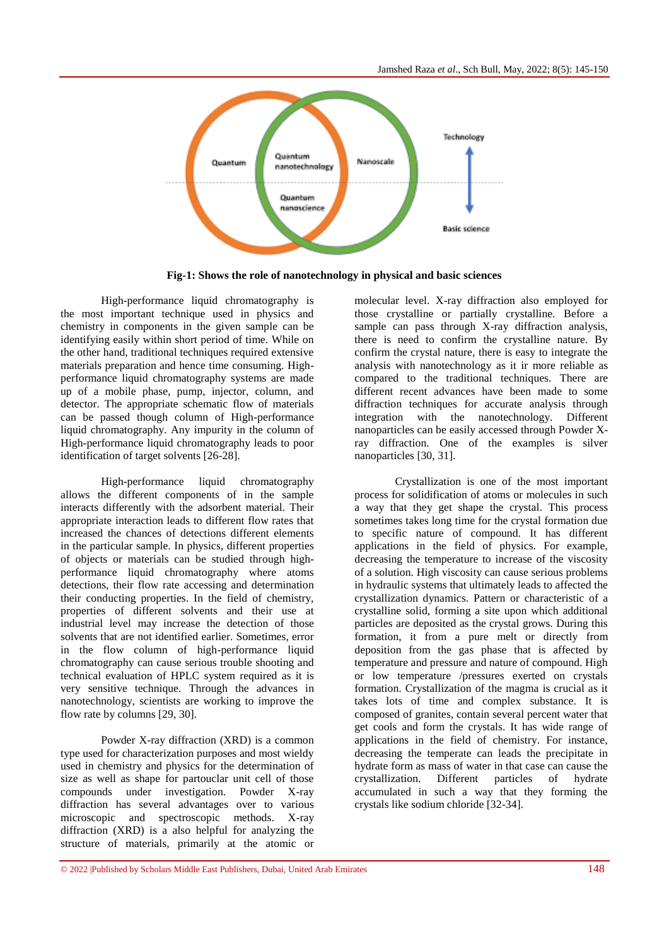

**Fig-1: Shows the role of nanotechnology in physical and basic sciences**

High-performance liquid chromatography is the most important technique used in physics and chemistry in components in the given sample can be identifying easily within short period of time. While on the other hand, traditional techniques required extensive materials preparation and hence time consuming. Highperformance liquid chromatography systems are made up of a mobile phase, pump, injector, column, and detector. The appropriate schematic flow of materials can be passed though column of High-performance liquid chromatography. Any impurity in the column of High-performance liquid chromatography leads to poor identification of target solvents [26-28].

High-performance liquid chromatography allows the different components of in the sample interacts differently with the adsorbent material. Their appropriate interaction leads to different flow rates that increased the chances of detections different elements in the particular sample. In physics, different properties of objects or materials can be studied through highperformance liquid chromatography where atoms detections, their flow rate accessing and determination their conducting properties. In the field of chemistry, properties of different solvents and their use at industrial level may increase the detection of those solvents that are not identified earlier. Sometimes, error in the flow column of high-performance liquid chromatography can cause serious trouble shooting and technical evaluation of HPLC system required as it is very sensitive technique. Through the advances in nanotechnology, scientists are working to improve the flow rate by columns [29, 30].

Powder X-ray diffraction (XRD) is a common type used for characterization purposes and most wieldy used in chemistry and physics for the determination of size as well as shape for partouclar unit cell of those compounds under investigation. Powder X-ray diffraction has several advantages over to various microscopic and spectroscopic methods. X-ray diffraction (XRD) is a also helpful for analyzing the structure of materials, primarily at the atomic or

molecular level. X-ray diffraction also employed for those crystalline or partially crystalline. Before a sample can pass through X-ray diffraction analysis, there is need to confirm the crystalline nature. By confirm the crystal nature, there is easy to integrate the analysis with nanotechnology as it ir more reliable as compared to the traditional techniques. There are different recent advances have been made to some diffraction techniques for accurate analysis through integration with the nanotechnology. Different nanoparticles can be easily accessed through Powder Xray diffraction. One of the examples is silver nanoparticles [30, 31].

Crystallization is one of the most important process for solidification of atoms or molecules in such a way that they get shape the crystal. This process sometimes takes long time for the crystal formation due to specific nature of compound. It has different applications in the field of physics. For example, decreasing the temperature to increase of the viscosity of a solution. High viscosity can cause serious problems in hydraulic systems that ultimately leads to affected the crystallization dynamics. Pattern or characteristic of a crystalline solid, forming a site upon which additional particles are deposited as the crystal grows. During this formation, it from a pure melt or directly from deposition from the gas phase that is affected by temperature and pressure and nature of compound. High or low temperature /pressures exerted on crystals formation. Crystallization of the magma is crucial as it takes lots of time and complex substance. It is composed of granites, contain several percent water that get cools and form the crystals. It has wide range of applications in the field of chemistry. For instance, decreasing the temperate can leads the precipitate in hydrate form as mass of water in that case can cause the crystallization. Different particles of hydrate accumulated in such a way that they forming the crystals like sodium chloride [32-34].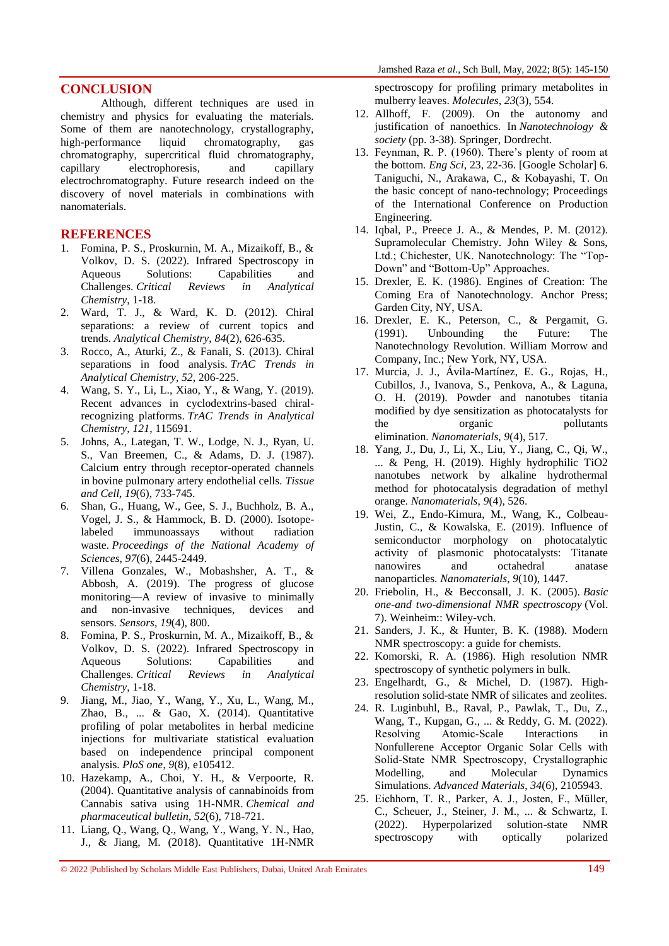## **CONCLUSION**

Although, different techniques are used in chemistry and physics for evaluating the materials. Some of them are nanotechnology, crystallography, high-performance liquid chromatography, gas chromatography, supercritical fluid chromatography, capillary electrophoresis, and capillary electrochromatography. Future research indeed on the discovery of novel materials in combinations with nanomaterials.

### **REFERENCES**

- 1. Fomina, P. S., Proskurnin, M. A., Mizaikoff, B., & Volkov, D. S. (2022). Infrared Spectroscopy in Aqueous Solutions: Capabilities and Challenges. *Critical Reviews in Analytical Chemistry*, 1-18.
- 2. Ward, T. J., & Ward, K. D. (2012). Chiral separations: a review of current topics and trends. *Analytical Chemistry*, *84*(2), 626-635.
- 3. Rocco, A., Aturki, Z., & Fanali, S. (2013). Chiral separations in food analysis. *TrAC Trends in Analytical Chemistry*, *52*, 206-225.
- 4. Wang, S. Y., Li, L., Xiao, Y., & Wang, Y. (2019). Recent advances in cyclodextrins-based chiralrecognizing platforms. *TrAC Trends in Analytical Chemistry*, *121*, 115691.
- 5. Johns, A., Lategan, T. W., Lodge, N. J., Ryan, U. S., Van Breemen, C., & Adams, D. J. (1987). Calcium entry through receptor-operated channels in bovine pulmonary artery endothelial cells. *Tissue and Cell*, *19*(6), 733-745.
- 6. Shan, G., Huang, W., Gee, S. J., Buchholz, B. A., Vogel, J. S., & Hammock, B. D. (2000). Isotopelabeled immunoassays without radiation waste. *Proceedings of the National Academy of Sciences*, *97*(6), 2445-2449.
- 7. Villena Gonzales, W., Mobashsher, A. T., & Abbosh, A. (2019). The progress of glucose monitoring—A review of invasive to minimally and non-invasive techniques, devices and sensors. *Sensors*, *19*(4), 800.
- 8. Fomina, P. S., Proskurnin, M. A., Mizaikoff, B., & Volkov, D. S. (2022). Infrared Spectroscopy in Aqueous Solutions: Capabilities and Challenges. *Critical Reviews in Analytical Chemistry*, 1-18.
- 9. Jiang, M., Jiao, Y., Wang, Y., Xu, L., Wang, M., Zhao, B., ... & Gao, X. (2014). Quantitative profiling of polar metabolites in herbal medicine injections for multivariate statistical evaluation based on independence principal component analysis. *PloS one*, *9*(8), e105412.
- 10. Hazekamp, A., Choi, Y. H., & Verpoorte, R. (2004). Quantitative analysis of cannabinoids from Cannabis sativa using 1H-NMR. *Chemical and pharmaceutical bulletin*, *52*(6), 718-721.
- 11. Liang, Q., Wang, Q., Wang, Y., Wang, Y. N., Hao, J., & Jiang, M. (2018). Quantitative 1H-NMR

spectroscopy for profiling primary metabolites in mulberry leaves. *Molecules*, *23*(3), 554.

- 12. Allhoff, F. (2009). On the autonomy and justification of nanoethics. In *Nanotechnology & society* (pp. 3-38). Springer, Dordrecht.
- 13. Feynman, R. P. (1960). There's plenty of room at the bottom. *Eng Sci*, 23, 22-36. [Google Scholar] 6. Taniguchi, N., Arakawa, C., & Kobayashi, T. On the basic concept of nano-technology; Proceedings of the International Conference on Production Engineering.
- 14. Iqbal, P., Preece J. A., & Mendes, P. M. (2012). Supramolecular Chemistry. John Wiley & Sons, Ltd.: Chichester, UK. Nanotechnology: The "Top-Down" and "Bottom-Up" Approaches.
- 15. Drexler, E. K. (1986). Engines of Creation: The Coming Era of Nanotechnology. Anchor Press; Garden City, NY, USA.
- 16. Drexler, E. K., Peterson, C., & Pergamit, G. (1991). Unbounding the Future: The Nanotechnology Revolution. William Morrow and Company, Inc.; New York, NY, USA.
- 17. Murcia, J. J., Ávila-Martínez, E. G., Rojas, H., Cubillos, J., Ivanova, S., Penkova, A., & Laguna, O. H. (2019). Powder and nanotubes titania modified by dye sensitization as photocatalysts for the organic pollutants elimination. *Nanomaterials*, *9*(4), 517.
- 18. Yang, J., Du, J., Li, X., Liu, Y., Jiang, C., Qi, W., ... & Peng, H. (2019). Highly hydrophilic TiO2 nanotubes network by alkaline hydrothermal method for photocatalysis degradation of methyl orange. *Nanomaterials*, *9*(4), 526.
- 19. Wei, Z., Endo-Kimura, M., Wang, K., Colbeau-Justin, C., & Kowalska, E. (2019). Influence of semiconductor morphology on photocatalytic activity of plasmonic photocatalysts: Titanate nanowires and octahedral anatase nanoparticles. *Nanomaterials*, *9*(10), 1447.
- 20. Friebolin, H., & Becconsall, J. K. (2005). *Basic one-and two-dimensional NMR spectroscopy* (Vol. 7). Weinheim:: Wiley-vch.
- 21. Sanders, J. K., & Hunter, B. K. (1988). Modern NMR spectroscopy: a guide for chemists.
- 22. Komorski, R. A. (1986). High resolution NMR spectroscopy of synthetic polymers in bulk.
- 23. Engelhardt, G., & Michel, D. (1987). Highresolution solid-state NMR of silicates and zeolites.
- 24. R. Luginbuhl, B., Raval, P., Pawlak, T., Du, Z., Wang, T., Kupgan, G., ... & Reddy, G. M. (2022). Resolving Atomic-Scale Interactions in Nonfullerene Acceptor Organic Solar Cells with Solid‐State NMR Spectroscopy, Crystallographic Modelling, and Molecular Dynamics Simulations. *Advanced Materials*, *34*(6), 2105943.
- 25. Eichhorn, T. R., Parker, A. J., Josten, F., Müller, C., Scheuer, J., Steiner, J. M., ... & Schwartz, I. (2022). Hyperpolarized solution-state NMR spectroscopy with optically polarized